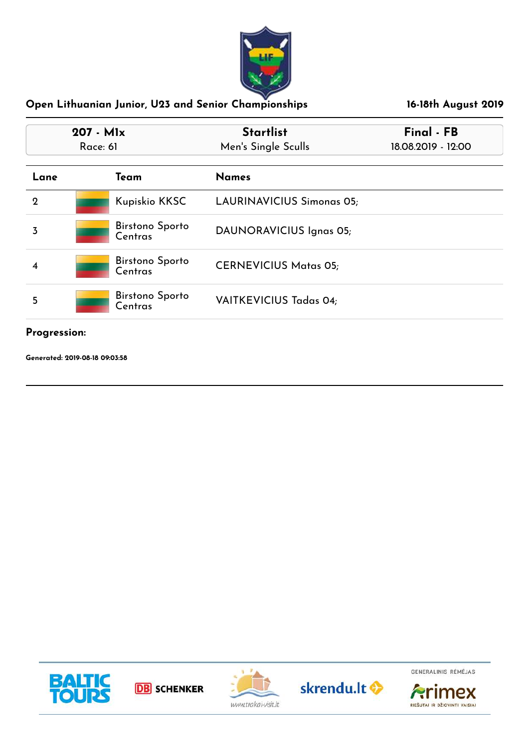

| $207 - M1x$<br>Race: 61 |                                   | <b>Startlist</b><br>Men's Single Sculls | Final - FB<br>18.08.2019 - 12:00 |  |
|-------------------------|-----------------------------------|-----------------------------------------|----------------------------------|--|
| Lane                    | Team                              | <b>Names</b>                            |                                  |  |
| $\mathbf 2$             | Kupiskio KKSC                     | <b>LAURINAVICIUS Simonas 05;</b>        |                                  |  |
| 3                       | <b>Birstono Sporto</b><br>Centras | DAUNORAVICIUS Ignas 05;                 |                                  |  |
| 4                       | <b>Birstono Sporto</b><br>Centras | <b>CERNEVICIUS Matas 05;</b>            |                                  |  |
| 5                       | <b>Birstono Sporto</b><br>Centras | <b>VAITKEVICIUS Tadas 04;</b>           |                                  |  |

# **Progression:**

**Generated: 2019-08-18 09:03:58**









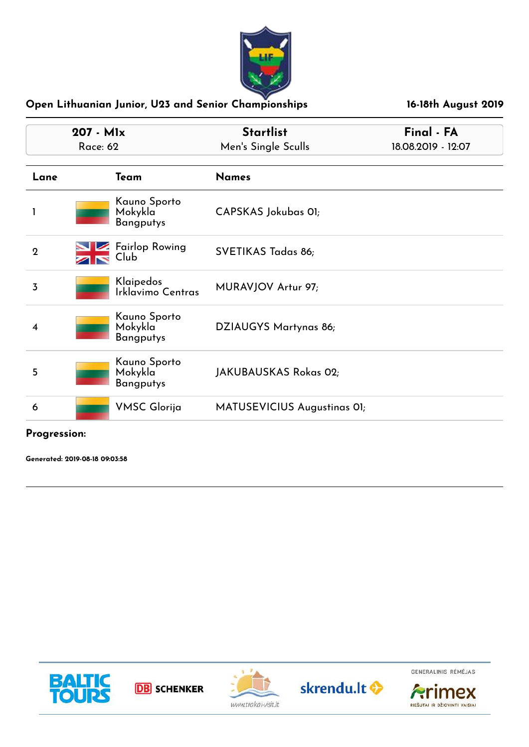

| 207 - Mlx<br><b>Race: 62</b> |                                             | <b>Startlist</b><br>Men's Single Sculls | Final - FA<br>18.08.2019 - 12:07 |
|------------------------------|---------------------------------------------|-----------------------------------------|----------------------------------|
| Lane                         | Team                                        | <b>Names</b>                            |                                  |
|                              | Kauno Sporto<br>Mokykla<br><b>Bangputys</b> | CAPSKAS Jokubas 01;                     |                                  |
| $\mathbf 2$                  | <b>Fairlop Rowing</b><br>Club               | SVETIKAS Tadas 86;                      |                                  |
| $\overline{3}$               | Klaipedos<br>Irklavimo Centras              | MURAVJOV Artur 97;                      |                                  |
| 4                            | Kauno Sporto<br>Mokykla<br><b>Bangputys</b> | DZIAUGYS Martynas 86;                   |                                  |
| 5                            | Kauno Sporto<br>Mokykla<br>Bangputys        | JAKUBAUSKAS Rokas 02;                   |                                  |
| 6                            | <b>VMSC Glorija</b>                         | MATUSEVICIUS Augustinas OI;             |                                  |

**Progression:**

**Generated: 2019-08-18 09:03:58**



**DB** SCHENKER





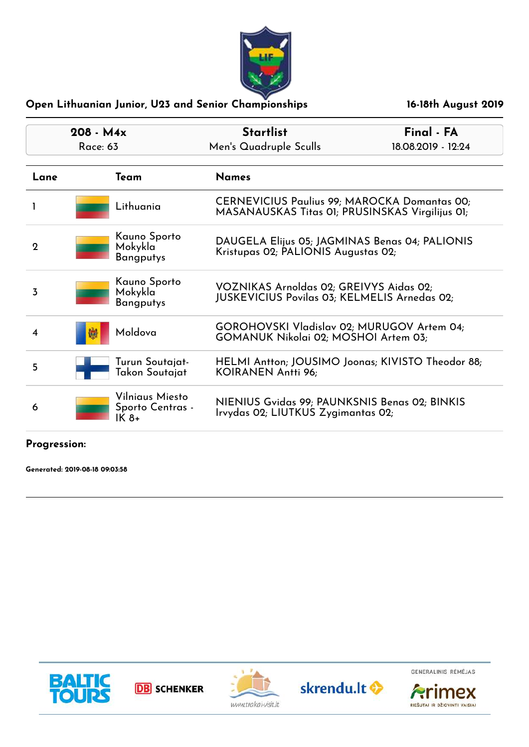

| $208 - M4x$<br><b>Race: 63</b> |                                              | <b>Startlist</b><br>Men's Quadruple Sculls                                                      | Final - FA<br>18.08.2019 - 12:24 |
|--------------------------------|----------------------------------------------|-------------------------------------------------------------------------------------------------|----------------------------------|
| Lane                           | Team                                         | Names                                                                                           |                                  |
|                                | Lithuania                                    | CERNEVICIUS Paulius 99; MAROCKA Domantas 00;<br>MASANAUSKAS Titas 01; PRUSINSKAS Virgilijus 01; |                                  |
| $\overline{2}$                 | Kauno Sporto<br>Mokykla<br><b>Bangputys</b>  | DAUGELA Elijus 05; JAGMINAS Benas 04; PALIONIS<br>Kristupas 02; PALIONIS Augustas 02;           |                                  |
| 3                              | Kauno Sporto<br>Mokykla<br><b>Bangputys</b>  | VOZNIKAS Arnoldas 02; GREIVYS Aidas 02;<br><b>JUSKEVICIUS Povilas 03; KELMELIS Arnedas 02;</b>  |                                  |
|                                | Moldova<br>孏                                 | GOROHOVSKI Vladislav 02; MURUGOV Artem 04;<br>GOMANUK Nikolai 02; MOSHOI Artem 03;              |                                  |
| 5                              | Turun Soutajat-<br>Takon Soutajat            | HELMI Antton; JOUSIMO Joonas; KIVISTO Theodor 88;<br>KOIRANEN Antti 96;                         |                                  |
| 6                              | Vilniaus Miesto<br>Sporto Centras -<br>IK 8+ | NIENIUS Gvidas 99; PAUNKSNIS Benas 02; BINKIS<br>Irvydas 02; LIUTKUS Zygimantas 02;             |                                  |

# **Progression:**

**Generated: 2019-08-18 09:03:58**











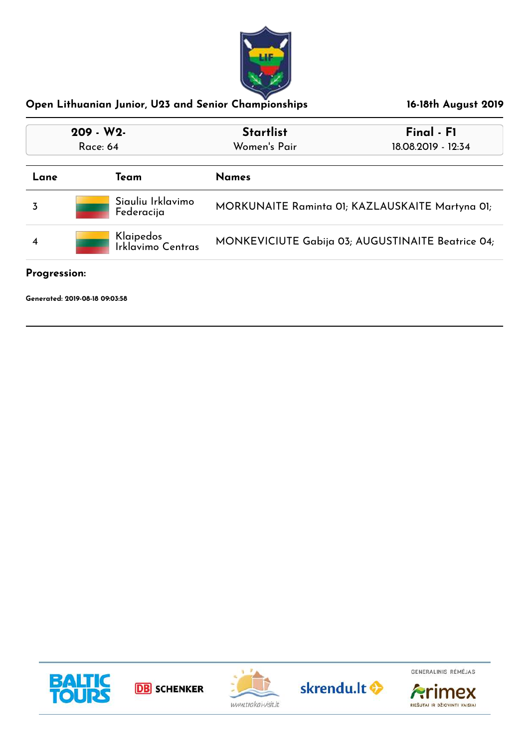

| 209 - W2-<br><b>Race: 64</b> |                                 | <b>Startlist</b><br>Women's Pair                  | Final - F1<br>18.08.2019 - 12:34 |
|------------------------------|---------------------------------|---------------------------------------------------|----------------------------------|
| Lane                         | Team                            | <b>Names</b>                                      |                                  |
|                              | Siauliu Irklavimo<br>Federacija | MORKUNAITE Raminta 01; KAZLAUSKAITE Martyna 01;   |                                  |
|                              | Klaipedos<br>Irklavimo Centras  | MONKEVICIUTE Gabija 03; AUGUSTINAITE Beatrice 04; |                                  |

#### **Progression:**

**Generated: 2019-08-18 09:03:58**









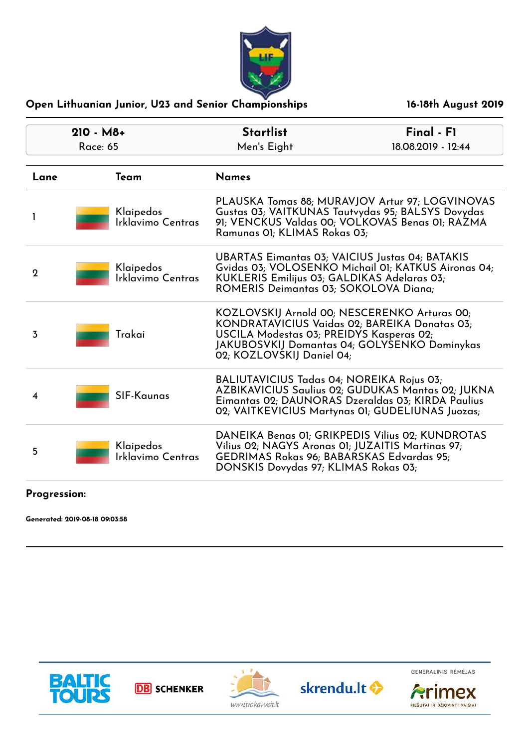

| $210 - M8+$<br><b>Race: 65</b> |                                | <b>Startlist</b><br>Men's Eight                                                                                                                                                         | Final - F1<br>18.08.2019 - 12:44                                                                                                                           |  |
|--------------------------------|--------------------------------|-----------------------------------------------------------------------------------------------------------------------------------------------------------------------------------------|------------------------------------------------------------------------------------------------------------------------------------------------------------|--|
| Lane                           | Team                           | <b>Names</b>                                                                                                                                                                            |                                                                                                                                                            |  |
|                                | Klaipedos<br>Irklavimo Centras | PLAUSKA Tomas 88; MURAVJOV Artur 97; LOGVINOVAS<br>Gustas 03; VAITKUNAS Tautvydas 95; BALSYS Dovydas<br>91; VENCKUS Valdas 00; VOLKOVAS Benas 01; RAZMA<br>Ramunas OI; KLIMAS Rokas 03; |                                                                                                                                                            |  |
| $\mathbf{2}$                   | Klaipedos<br>Irklavimo Centras | <b>UBARTAS Eimantas 03; VAICIUS Justas 04; BATAKIS</b><br>KUKLERIS Emilijus 03; GALDIKAS Adelaras 03;<br>ROMERIS Deimantas 03; SOKOLOVA Diana;                                          | Gvidas 03; VOLOSENKO Michail 01; KATKUS Aironas 04;                                                                                                        |  |
| $\overline{3}$                 | Trakai                         | KOZLOVSKIJ Arnold 00; NESCERENKO Arturas 00;<br>USCILA Modestas 03; PREIDYS Kasperas 02;<br>02; KOZLOVSKIJ Daniel 04;                                                                   | KONDRATAVICIUS Vaidas 02; BAREIKA Donatas 03;<br>JAKUBOSVKIJ Domantas 04; GOLYSENKO Dominykas                                                              |  |
| 4                              | <b>SIF-Kaunas</b>              | BALIUTAVICIUS Tadas 04; NOREIKA Rojus 03;                                                                                                                                               | AZBIKAVICIUS Saulius 02; GUDUKAS Mantas 02; JUKNA<br>Eimantas 02; DAUNORAS Dzeraldas 03; KIRDA Paulius<br>02; VAITKEVICIUS Martynas 01; GUDELIUNAS Juozas; |  |
| 5                              | Klaipedos<br>Irklavimo Centras | Vilius 02; NAGYS Aronas 01; JUZAITIS Martinas 97;<br>GEDRIMAS Rokas 96; BABARSKAS Edvardas 95;<br>DONSKIS Dovydas 97; KLIMAS Rokas 03;                                                  | DANEIKA Benas OI; GRIKPEDIS Vilius 02; KUNDROTAS                                                                                                           |  |

# **Progression:**

**Generated: 2019-08-18 09:03:58**



**DB** SCHENKER





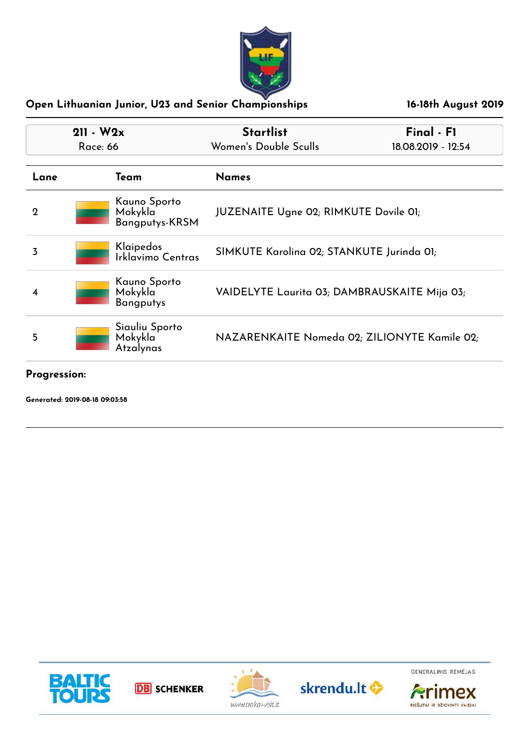

|              | $211 - W2x$<br>Race: 66 |                                                  | <b>Startlist</b><br>Final - F1<br>Women's Double Sculls<br>18.08.2019 - 12:54 |  |
|--------------|-------------------------|--------------------------------------------------|-------------------------------------------------------------------------------|--|
| Team<br>Lane |                         |                                                  | <b>Names</b>                                                                  |  |
| $\mathbf 2$  |                         | Kauno Sporto<br>Mokykla<br><b>Bangputys-KRSM</b> | <b>JUZENAITE Ugne 02; RIMKUTE Dovile 01;</b>                                  |  |
| 3            |                         | Klaipedos<br>Irklavimo Centras                   | SIMKUTE Karolina 02; STANKUTE Jurinda 01;                                     |  |
|              |                         | Kauno Sporto<br>Mokykla<br><b>Bangputys</b>      | VAIDELYTE Laurita 03; DAMBRAUSKAITE Mija 03;                                  |  |
| 5            |                         | Siauliu Sporto<br>Mokykla<br>Atzalynas           | NAZARENKAITE Nomeda 02; ZILIONYTE Kamile 02;                                  |  |

### **Progression:**

**Generated: 2019-08-18 09:03:58**









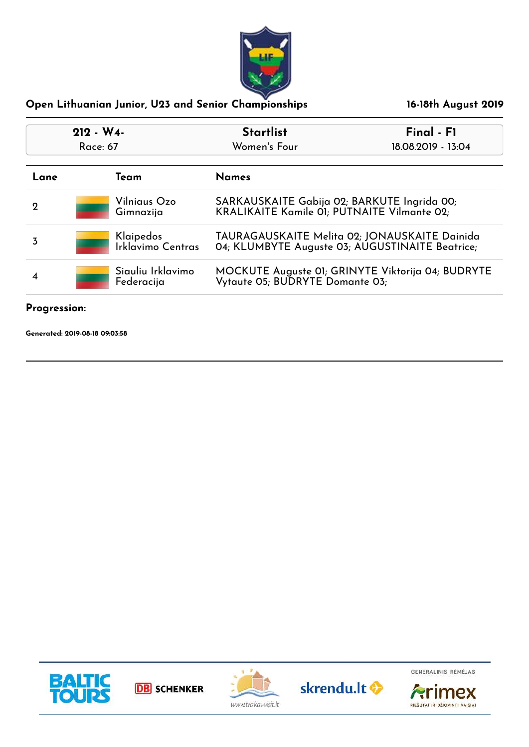

| $212 - W4$  |                                 | <b>Startlist</b>  | Final - F1                                                                                        |  |
|-------------|---------------------------------|-------------------|---------------------------------------------------------------------------------------------------|--|
| Race: 67    |                                 | Women's Four      | 18.08.2019 - 13:04                                                                                |  |
| Lane        | Team                            | <b>Names</b>      |                                                                                                   |  |
| $\mathbf 2$ | Vilniaus Ozo<br>Gimnazija       |                   | SARKAUSKAITE Gabija 02; BARKUTE Ingrida 00;<br><b>KRALIKAITE Kamile 01; PUTNAITE Vilmante 02;</b> |  |
| 3           | Klaipedos                       | Irklavimo Centras | TAURAGAUSKAITE Melita 02; JONAUSKAITE Dainida<br>04; KLUMBYTE Auguste 03; AUGUSTINAITE Beatrice;  |  |
|             | Siauliu Irklavimo<br>Federacija |                   | MOCKUTE Auguste 01; GRINYTE Viktorija 04; BUDRYTE<br>Vytaute 05; BUDRYTE Domante 03;              |  |

### **Progression:**

**Generated: 2019-08-18 09:03:58**



**DB** SCHENKER





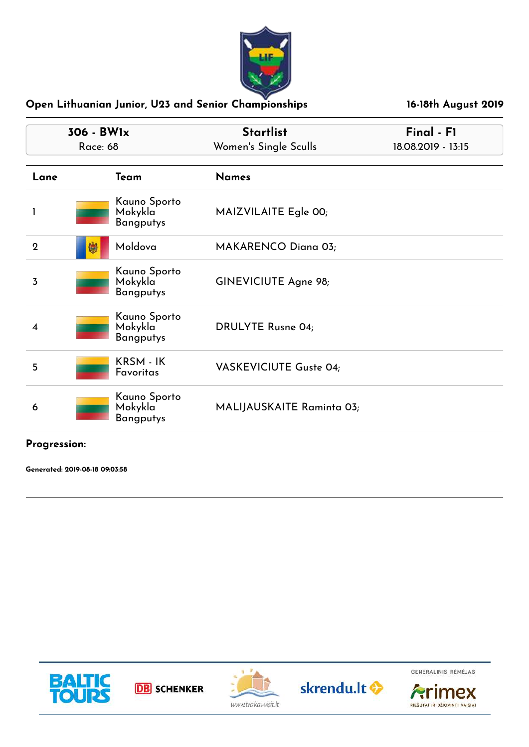

| 306 - BWlx<br><b>Race: 68</b> |                                             | <b>Startlist</b><br>Women's Single Sculls | Final - F1<br>18.08.2019 - 13:15 |
|-------------------------------|---------------------------------------------|-------------------------------------------|----------------------------------|
| Lane                          | Team                                        | <b>Names</b>                              |                                  |
| 1                             | Kauno Sporto<br>Mokykla<br><b>Bangputys</b> | MAIZVILAITE Egle 00;                      |                                  |
| $\mathbf 2$                   | Moldova<br>嫐                                | <b>MAKARENCO Diana 03;</b>                |                                  |
| $\overline{3}$                | Kauno Sporto<br>Mokykla<br><b>Bangputys</b> | GINEVICIUTE Agne 98;                      |                                  |
| 4                             | Kauno Sporto<br>Mokykla<br>Bangputys        | <b>DRULYTE Rusne 04;</b>                  |                                  |
| 5                             | KRSM - IK<br><b>Favoritas</b>               | <b>VASKEVICIUTE Guste 04;</b>             |                                  |
| 6                             | Kauno Sporto<br>Mokykla<br><b>Bangputys</b> | MALIJAUSKAITE Raminta 03;                 |                                  |

# **Progression:**

**Generated: 2019-08-18 09:03:58**











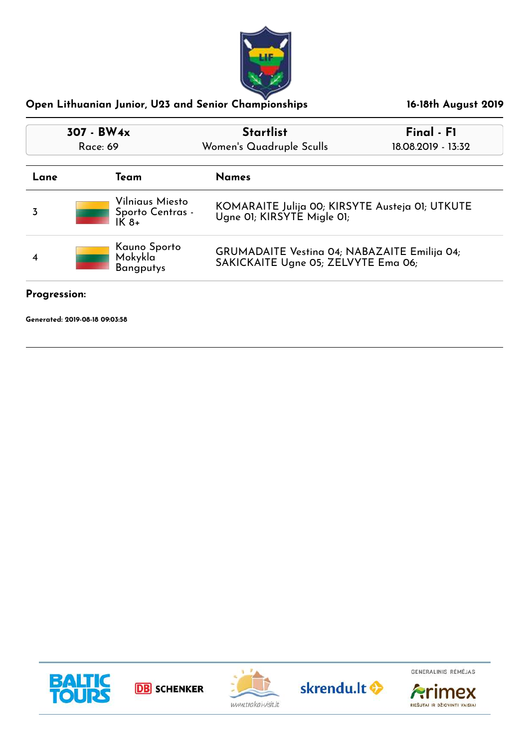

| 307 - BW <sub>4x</sub><br>Race: 69               |                           | <b>Startlist</b><br>Women's Quadruple Sculls                                                      | Final - F1<br>18.08.2019 - 13:32 |  |
|--------------------------------------------------|---------------------------|---------------------------------------------------------------------------------------------------|----------------------------------|--|
| Lane                                             | Team                      | <b>Names</b>                                                                                      |                                  |  |
| 3                                                | Vilniaus Miesto<br>$IK8+$ | KOMARAITE Julija 00; KIRSYTE Austeja 01; UTKUTE<br>Sporto Centras -<br>Ugne OI; KIRSYTE Migle OI; |                                  |  |
| Kauno Sporto<br>Mokykla<br>4<br><b>Bangputys</b> |                           | <b>GRUMADAITE Vestina 04; NABAZAITE Emilija 04;</b><br>SAKICKAITE Ugne 05; ZELVYTE Ema 06;        |                                  |  |

**Progression:**

**Generated: 2019-08-18 09:03:58**









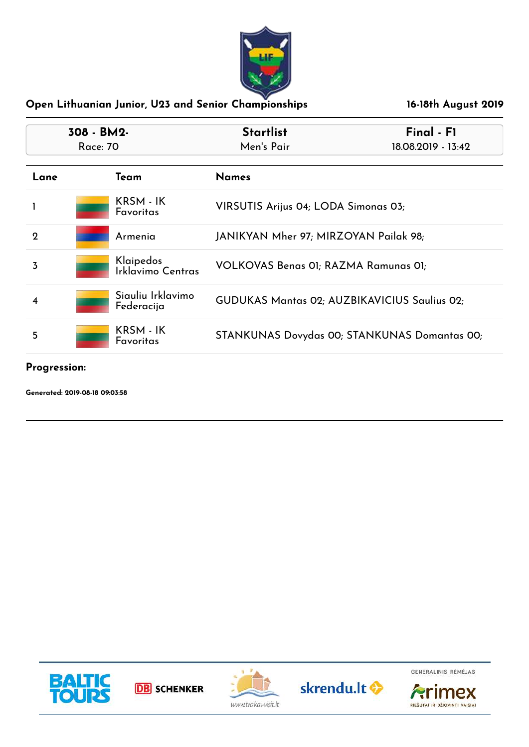

| 308 - BM2-<br>Race: 70 |                                 | <b>Startlist</b><br>Men's Pair               | Final - F1<br>18.08.2019 - 13:42             |  |
|------------------------|---------------------------------|----------------------------------------------|----------------------------------------------|--|
| Lane                   | Team                            | <b>Names</b>                                 |                                              |  |
|                        | KRSM - IK<br><b>Favoritas</b>   | VIRSUTIS Arijus 04; LODA Simonas 03;         |                                              |  |
| $\mathbf 2$            | Armenia                         | JANIKYAN Mher 97; MIRZOYAN Pailak 98;        |                                              |  |
| 3                      | Klaipedos<br>Irklavimo Centras  | VOLKOVAS Benas 01; RAZMA Ramunas 01;         |                                              |  |
|                        | Siauliu Irklavimo<br>Federacija | GUDUKAS Mantas 02; AUZBIKAVICIUS Saulius 02; |                                              |  |
| 5                      | KRSM - IK<br><b>Favoritas</b>   |                                              | STANKUNAS Dovydas 00; STANKUNAS Domantas 00; |  |

**Progression:**

**Generated: 2019-08-18 09:03:58**









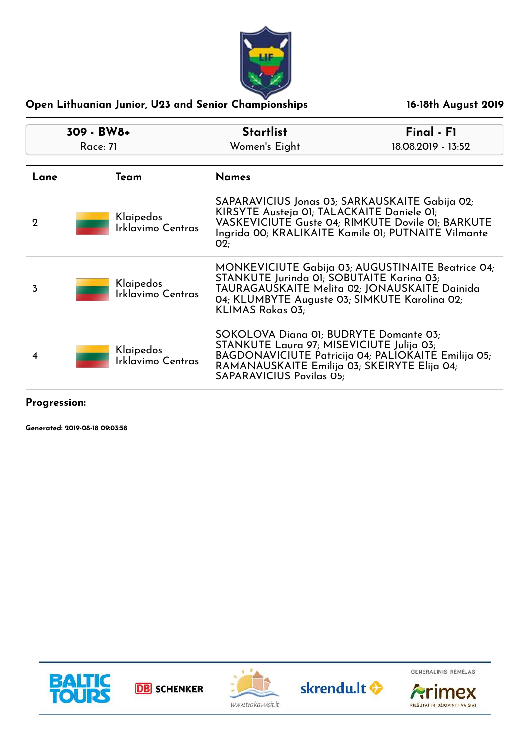

| 309 - BW8+  |                                | <b>Startlist</b>                                                                                                                                                                                                              | Final - F1                                                                                                                                                 |
|-------------|--------------------------------|-------------------------------------------------------------------------------------------------------------------------------------------------------------------------------------------------------------------------------|------------------------------------------------------------------------------------------------------------------------------------------------------------|
|             | <b>Race: 71</b>                | Women's Eight                                                                                                                                                                                                                 | 18.08.2019 - 13:52                                                                                                                                         |
| Lane        | Team                           | <b>Names</b>                                                                                                                                                                                                                  |                                                                                                                                                            |
| $\mathbf 2$ | Klaipedos<br>Irklavimo Centras | KIRSYTE Austeja 01; TALACKAITE Daniele 01;<br>O2:                                                                                                                                                                             | SAPARAVICIUS Jonas 03; SARKAUSKAITE Gabija 02;<br>VASKEVICIUTE Guste 04; RIMKUTE Dovile 01; BARKUTE<br>Ingrida 00; KRALIKAITE Kamile 01; PUTNAITE Vilmante |
| 3           | Klaipedos<br>Irklavimo Centras | STANKUTE Jurinda 01; SOBUTAITE Karina 03;<br>04; KLUMBYTE Auguste 03; SIMKUTE Karolina 02;<br>KLIMAS Rokas 03;                                                                                                                | MONKEVICIUTE Gabija 03; AUGUSTINAITE Beatrice 04;<br>TAURAGAUSKAITE Melita 02; JONAUSKAITE Dainida                                                         |
| 4           | Klaipedos<br>Irklavimo Centras | SOKOLOVA Diana 01; BUDRYTE Domante 03;<br>STANKUTE Laura 97; MISEVICIUTE Julija 03;<br>BAGDONAVICIUTE Patricija 04; PALIOKAITE Emilija 05;<br>RAMANAUSKAITE Emilija 03; SKEIRYTE Elija 04;<br><b>SAPARAVICIUS Povilas 05;</b> |                                                                                                                                                            |
|             |                                |                                                                                                                                                                                                                               |                                                                                                                                                            |

## **Progression:**

**Generated: 2019-08-18 09:03:58**







skrendu.lt <br/>
<sup>O</sup>



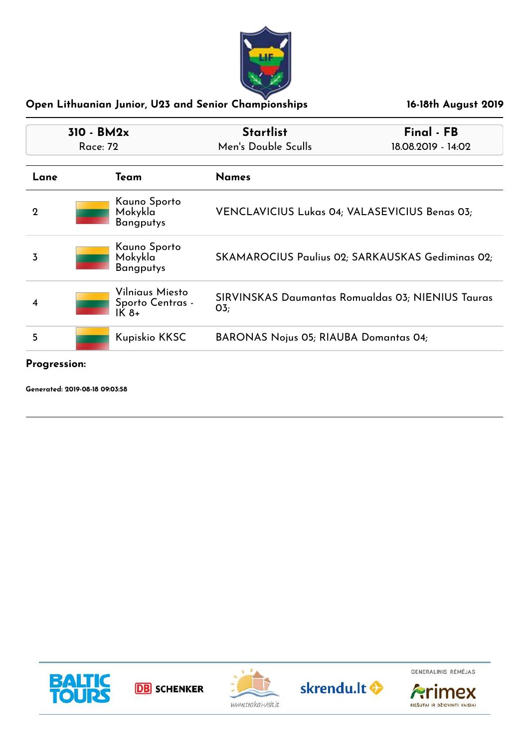

| $310 - BM2x$<br>Race: 72 |                                              | <b>Startlist</b><br>Men's Double Sculls                             | Final - FB<br>18.08.2019 - 14:02 |
|--------------------------|----------------------------------------------|---------------------------------------------------------------------|----------------------------------|
| Lane                     | Team                                         | <b>Names</b>                                                        |                                  |
| $\mathbf 2$              | Kauno Sporto<br>Mokykla<br><b>Bangputys</b>  | VENCLAVICIUS Lukas 04; VALASEVICIUS Benas 03;                       |                                  |
| 3                        | Kauno Sporto<br>Mokykla<br><b>Bangputys</b>  | SKAMAROCIUS Paulius 02; SARKAUSKAS Gediminas 02;                    |                                  |
| 4                        | Vilniaus Miesto<br>Sporto Centras -<br>IK 8+ | SIRVINSKAS Daumantas Romualdas 03; NIENIUS Tauras<br>O <sub>3</sub> |                                  |
| 5                        | Kupiskio KKSC                                | <b>BARONAS Nojus 05; RIAUBA Domantas 04;</b>                        |                                  |

# **Progression:**

**Generated: 2019-08-18 09:03:58**



**DB** SCHENKER





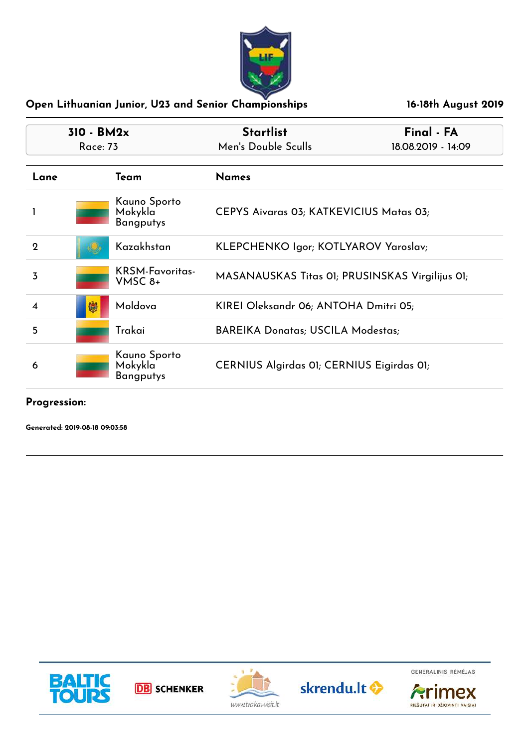

| 310 - BM2x<br><b>Race: 73</b> |   |                                             | <b>Startlist</b>                                | Final - FA |
|-------------------------------|---|---------------------------------------------|-------------------------------------------------|------------|
|                               |   |                                             | Men's Double Sculls<br>18.08.2019 - 14:09       |            |
| Lane                          |   | Team                                        | <b>Names</b>                                    |            |
|                               |   | Kauno Sporto<br>Mokykla<br><b>Bangputys</b> | CEPYS Aivaras 03; KATKEVICIUS Matas 03;         |            |
| $\mathbf{Q}$                  |   | Kazakhstan                                  | KLEPCHENKO Igor; KOTLYAROV Yaroslav;            |            |
| $\overline{3}$                |   | <b>KRSM-Favoritas-</b><br>VMSC 8+           | MASANAUSKAS Titas 01; PRUSINSKAS Virgilijus 01; |            |
| 4                             | 孄 | Moldova                                     | KIREI Oleksandr 06; ANTOHA Dmitri 05;           |            |
| 5                             |   | Trakai                                      | <b>BAREIKA Donatas; USCILA Modestas;</b>        |            |
| 6                             |   | Kauno Sporto<br>Mokykla<br>Bangputys        | CERNIUS Algirdas 01; CERNIUS Eigirdas 01;       |            |

#### **Progression:**

**Generated: 2019-08-18 09:03:58**



**DB** SCHENKER